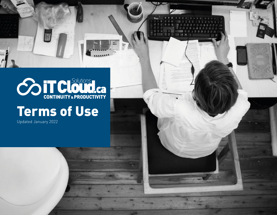

## Terms of Use

Updated January 2022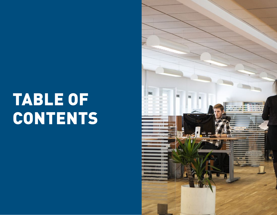# TABLE OF CONTENTS

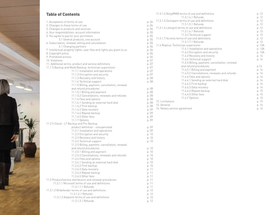#### **Table of Contents**

| 1. Acceptance of terms of use                                                 | p. 04 |
|-------------------------------------------------------------------------------|-------|
| 2. Changes to these terms of use                                              | p. 04 |
| 3. Changes to products and services                                           | p. 04 |
| 4. Your responsibilities: account information                                 | p. 05 |
| 5. You agree to pay for your purchases                                        | p. 05 |
| 5.1 Several products, one account                                             | p. 05 |
| 6. Subscription, renewal, billing and cancellation                            | p. 05 |
| 6.1 Changing partners                                                         | p. 06 |
| 7. Intellectual property rights: user files and rights you grant to us        | p. 06 |
| 8. Copyright policy                                                           | p. 06 |
| 9. Prohibited actions                                                         | p. 06 |
| 10. Violations                                                                | p. 07 |
| 11. Additional terms: product and service definitions                         | p. 07 |
| 11.1 S Backup and MedicBackup: technician supervision                         | p. 07 |
| 11.1.1 Installation and operations                                            | p. 07 |
| 11.1.2 Encryption and security                                                | p. 07 |
| 11.1.3 Recovery and history                                                   | p. 08 |
| 11.1.4 Technical support                                                      | p. 08 |
| 11.1.5 Billing, payment, cancellation, renewal                                |       |
| and refund procedures                                                         | p. 08 |
| 11.1.5.1 Billing and payment                                                  | p. 08 |
| 11.1.5.2 Cancellations, renewals and refunds                                  | p. 08 |
| 11.1.6 Fees and options                                                       | p. 08 |
| 11.1.6.1 Sending an external hard disk                                        | p. 08 |
| 11.1.6.2 First backup                                                         | p. 08 |
| 11.1.6.3 Data recovery                                                        | p. 09 |
| 11.1.6.4 Repeat backup                                                        | p. 09 |
| 11.1.6.5 Other fees                                                           | p. 09 |
| 11.1.7 Options                                                                | p. 09 |
| 11.2 It Cloud - LT Backup and Pro Backup<br>product definition - unsupervised | p. 09 |
| 11.2.1 Installation and operations                                            | p. 09 |
| 11.2.2 Encryption and security                                                | p. 10 |
| 11.2.3 Recovery and history                                                   | p. 10 |
| 11.2.4 Technical support                                                      | p. 10 |
| 11.2.5 Billing, payment, cancellation, renewal                                |       |
| and refund procedures                                                         | p. 10 |
| 11.2.5.1 Billing and payment                                                  | p. 10 |
| 11.2.5.2 Cancellations, renewals and refunds                                  | p. 10 |
| 11.2.6 Fees and options                                                       | p. 10 |
| 11.2.6.1 Sending an external hard disk                                        | p. 10 |
| 11.2.6.2 First backup                                                         | p. 10 |
| 11.2.6.3 Data recovery                                                        | p. 11 |
| 11.2.6.4 Repeat backup                                                        | p. 11 |
| 11.2.6.5 Other fees                                                           | p. 11 |
| 11.3 Product/service distribution and renewal procedures                      | p. 11 |
| 11.3.1.1 Microsoft terms of use and definitions                               | p. 11 |
| 11.3.1.1.1 Refunds                                                            | p. 11 |
| 11.3.1.2 Bitdefender terms of use and definitions                             | p. 12 |
| 11.3.1.2.1 Refunds                                                            | p. 12 |
| 11.3.1.3 Avepoint terms of use and definitions                                | p. 12 |
| 11.3.1.3.1 Refunds                                                            | p. 12 |

|                                           | 11.3.1.4 NinjaRMM terms of use and definitions<br>11.3.1.4.1 Refunds         | p. 12<br>p. 12  |
|-------------------------------------------|------------------------------------------------------------------------------|-----------------|
| p. 04<br>p. 04<br>p. 04                   | 11.3.1.5 Zerospam terms of use and definitions<br>11.3.1.5.1 Refunds         | p. 12<br>p. 12  |
|                                           | 11.3.1.6 Letsignit terms of use and definitions                              | p. 12           |
| p. 05                                     | 11.3.1.6.1 Refunds                                                           | p. 13           |
| p. 05                                     | 11.3.2 Technical support<br>11.3.1.7 Acronis terms of use and definitions    | p. 13<br>p. 12  |
| p. 05<br>p. 05                            | 11.3.1.7.1 Refunds                                                           | p. 13           |
| p. 06                                     | 11.4 Replica: Technician supervision                                         | p. 13A          |
| p. 06                                     | 11.4.1 Installation and operations                                           | p. 13A          |
| p. 06                                     | 11.4.2 Encryption and security<br>11.4.3 Recovery and history                | p. 13A<br>p. 14 |
| p. 06<br>p. 07                            | 11.4.4 Technical support                                                     | p. 14           |
| p. 07                                     | 11.4.5 Billing, payment, cancellation, renewal                               |                 |
| p. 07                                     | and refund procedures                                                        | p.14            |
| p. 07                                     | 11.4.5.1 Billing and payment<br>11.4.5.2 Cancellations, renewals and refunds | p. 14<br>p. 14  |
| p. 07                                     | 11.4.6 Fees and options                                                      | p. 14           |
| p. 08<br>p. 08                            | 11.4.6.1 Sending an external hard disk                                       | p. 14           |
|                                           | 11.4.6.2 First backup                                                        | p. 14           |
| p. 08                                     | 11.4.6.3 Data recovery                                                       | p. 14           |
| p. 08                                     | 11.4.6.4 Repeat backup<br>11.4.6.5 Other fees                                | p. 15<br>p. 15  |
| p. 08                                     | 11.4.7 Options                                                               | p. 15           |
| p. 08<br>p. 08                            | 12. Limitations                                                              | p. 15           |
| p. 08                                     | 13. General                                                                  | p. 16           |
| p. 09<br>p. 09<br>p. 09<br>p. 09          | 14. Notary service agreement                                                 | p. 16           |
| p. 09<br>p. 09<br>p. 10<br>p. 10<br>p. 10 |                                                                              |                 |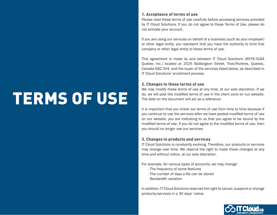# TERMS OF USE

#### 1. Acceptance of terms of use

Please read these terms of use carefully before accessing services provided by IT Cloud Solutions. If you do not agree to these Terms of Use, please do not activate your account.

If you are using our services on behalf of a business (such as your employer) or other legal entity, you represent that you have the authority to bind that company or other legal entity to these terms of use.

This agreement is made by and between IT Cloud Solutions (9078-3184 Quebec Inc.) located at 2525 Baillargeon Street, Trois-Rivières, Quebec, Canada G8Z 2V4, and the buyer of the services listed below, as described in IT Cloud Solutions' enrollment process.

#### 2. Changes to these terms of use

We may modify these terms of use at any time, at our sole discretion. If we do, we will post the modified terms of use in the client zone on our website. The date on the document will act as a reference.

It is important that you check our terms of use from time to time because if you continue to use the services after we have posted modified terms of use on our website, you are indicating to us that you agree to be bound by the modified terms of use. If you do not agree to the modified terms of use, then you should no longer use our services.

#### 3. Changes to products and services

IT Cloud Solutions is constantly evolving. Therefore, our products or services may change over time. We reserve the right to make these changes at any time and without notice, at our sole discretion.

For example, for various types of accounts, we may change:

- The frequency of some features
- The number of days a file can be stored
- Bandwidth variation

In addition, IT Cloud Solutions reserves the right to cancel, suspend or change products/services in a 30 days' notice.

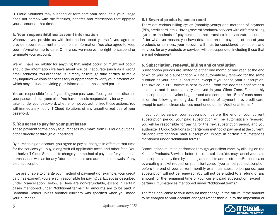IT Cloud Solutions may suspend or terminate your account if your usage does not comply with the features, benefits and restrictions that apply to your account at that time.

#### 4. Your responsibilities: account information

Whenever you provide us with information about yourself, you agree to provide accurate, current and complete information. You also agree to keep your information up to date. Otherwise, we reserve the right to suspend or terminate your account.

We will have no liability for anything that might occur, or might not occur, should the information we have about you be inaccurate (such as a wrong email address). You authorize us, directly or through third parties, to make any inquiries we consider necessary or appropriate to verify your information, which may include providing your information to those third parties.

You are responsible for safeguarding your password. You agree not to disclose your password to anyone else. You have the sole responsibility for any actions taken under your password, whether or not you authorized those actions. You will immediately notify IT Cloud Solutions of any unauthorized use of your password.

#### 5. You agree to pay for your purchases

These payment terms apply to purchases you make from IT Cloud Solutions, either directly or through our partners.

By purchasing an account, you agree to pay all charges in effect at that time for the services you buy, along with all applicable taxes and other fees. You authorize IT Cloud Solutions to charge your method of payment for your initial purchase, as well as for any future purchases and automatic renewals of any paid subscription.

If we are unable to charge your method of payment (for example, your credit card has expired), you are still responsible for paying us. Except as described under "cancellation" below, all fees are non-refundable, except in certain cases mentioned under "Additional terms." All amounts are to be paid in Canadian Dollars unless another currency was specified when you made your purchase.

#### 5.1 Several products, one account

There are various billing cycles (monthly/yearly) and methods of payment (PPA, credit card, etc.). Having several products/services with different billing cycles or methods of payment does not translate into separate accounts. If, for whatever reason, you have defaulted on the payment of one of your products or services, your account will thus be considered delinquent and services for any products or services will be suspended, including those that are not delinquent.

#### 6. Subscription, renewal, billing and cancellation

Subscription periods are limited to either one month or one year, at the end of which your paid subscription will be automatically renewed for the same duration as your initial subscription, except if you cancel your subscription. The invoice in PDF format is sent by email from the address notification@ itcloud.ca and is automatically archived in your Client Zone. For monthly subscriptions, the invoice is generated and sent on the 15th of each month or on the following working day. The method of payment is by credit card, except in certain circumstances mentioned under "Additional terms."

If you do not cancel your subscription before the end of your current subscription period, your paid subscription will be automatically renewed, you will be responsible for paying for the next subscription period, and you authorize IT Cloud Solutions to charge your method of payment at the current, full-price rate for your paid subscription, except in certain circumstances mentioned under "Additional terms."

Cancellations must be performed through your client zone, by clicking on the X under Products/Services before the renewal date. You may cancel your paid subscription at any time by sending an email to administration@itcloud.ca or by creating a ticket request on your client zone. If you cancel your subscription before the end of your current monthly or annual subscription period, your subscription will not be renewed. You will not be entitled to a refund of any amount for the remaining time of your current paid subscription, except in certain circumstances mentioned under "Additional terms."

The fees applicable to your account may change in the future. If the amount to be charged to your account changes (other than due to the imposition or

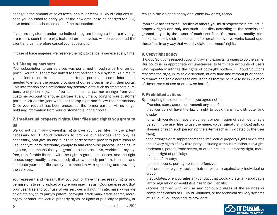change in the amount of sales taxes, or similar fees), IT Cloud Solutions will send you an email to notify you of the new amount to be charged ten (10) days before the scheduled date of the transaction.

If you are registered under the indirect program through a third party (e.g., a partner), such third party, featured on the invoice, will be considered the client and can therefore cancel your subscription.

In case of force majeure, we reserve the right to cancel a service at any time.

#### 6.1 Changing partners

Your subscription to our services was performed through a partner on our portal. Your file is therefore linked to that partner in our system. As a result, your client record is kept in that partner's portal and some information needed to ensure the proper provision of our services is held in their portal. This information does not include any sensitive data such as credit card numbers, encryption keys, etc. You can request a partner change from your customer account to another partner at any time by going to your customer portal, click on the gear wheel at the top right and follow the instructions. Once your request has been processed, the former partner will no longer hold any information from your customer file in their portal.

#### 7. Intellectual property rights: User files and rights you grant to

#### us

We do not claim any ownership rights over your user files. To the extent necessary for IT Cloud Solutions to provide our services (and only as necessary), you give us and our third-party service providers permission to use, encrypt, copy, distribute, compress and otherwise process user files. In legalese, this means that you grant us a non-exclusive, worldwide, royaltyfree, transferable licence, with the right to grant sublicences, and the right to use, copy, modify, store, publicly display, publicly perform, transmit and distribute your user files solely in connection with operating and providing the services.

You represent and warrant that you own or have the necessary rights and permissions to send, upload or store your user files using our services and that your user files and your use of our services will not infringe, misappropriate or violate any third party's patent, copyright, trademark, trade secret, moral rights, or other intellectual property rights, or rights of publicity or privacy, or result in the violation of any applicable law or regulation.

If you have access to the user files of others, you must respect their intellectual property rights and only use such user files according to the permissions granted to you by the owner of such user files. You must not modify, rent, lease, loan, sell, distribute copies of or create derivative works based upon those files in any way that would violate the owners' rights.

#### 8. Copyright policy

IT Cloud Solutions respect copyright law and expects its users to do the same. Our policy is, in appropriate circumstances, to terminate accounts of users who repeatedly infringe the rights of copyright holders. IT Cloud Solutions reserves the right, in its sole discretion, at any time and without prior notice, to remove or disable access to any user files that we believe to be in violation of these terms of use or otherwise harmful.

#### 9. Prohibited actions

By accepting these terms of use, you agree not to:

-Transfer, store, access or transmit any user file:

that you do not have the lawful right to copy, transmit, distribute, and display;

for which you do not have the consent or permission of each identifiable person in the user files to use the name, voice, signature, photograph, or likeness of each such person (to the extent each is implicated by the user files);

that infringes or misappropriates the intellectual property rights or violates the privacy rights of any third party (including without limitation, copyright, trademark, patent, trade secret, or other intellectual property right, moral right, or right of publicity);

that is defamatory;

that is obscene, pornographic, or offensive;

that promotes bigotry, racism, hatred, or harm against any individual or group;

that violates, or encourages any conduct that would violate, any applicable law or regulation or would give rise to civil liability;

-Access, tamper with, or use any non-public areas of the services or computer systems of IT Cloud Solutions, or the technical delivery systems of IT Cloud Solutions and its providers;

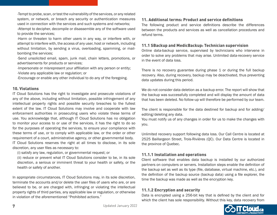-Tempt to probe, scan, or test the vulnerability of the services, or any related system, or network, or breach any security or authentication measures used in connection with the services and such systems and networks; -Attempt to decipher, decompile or disassemble any of the software used to provide the services;

-Harm or threaten to harm other users in any way, or interfere with, or attempt to interfere with, the access of any user, host or network, including without limitation, by sending a virus, overloading, spamming, or mailbombing the services;

-Send unsolicited email, spam, junk mail, chain letters, promotions, or advertisements for products or services;

-Impersonate or misrepresent your affiliation with any person or entity; -Violate any applicable law or regulation; or

-Encourage or enable any other individual to do any of the foregoing.

#### 10. Violations

IT Cloud Solutions has the right to investigate and prosecute violations of any of the above, including without limitation, possible infringement of any intellectual property rights and possible security breaches to the fullest extent of the law. IT Cloud Solutions may involve and cooperate with law enforcement authorities in prosecuting users who violate these terms of use. You acknowledge that, although IT Cloud Solutions has no obligation to monitor your access to or use of the services, it has the right to do so for the purposes of operating the services, to ensure your compliance with these terms of use, or to comply with applicable law, or the order or other requirement of a court, administrative agency, or other governmental body. IT Cloud Solutions reserves the right at all times to disclose, in its sole discretion, any user files as necessary to:

(i) satisfy any law, regulation, or governmental request; or

(ii) reduce or prevent what IT Cloud Solutions consider to be, in its sole discretion, a serious or imminent threat to your health or safety, or the health or safety of another.

In appropriate circumstances, IT Cloud Solutions may, in its sole discretion, terminate the accounts and/or delete the user files of users who are, or are believed to be, or are charged with, infringing or violating the intellectual property rights of third parties, any applicable law or regulation, or otherwise in violation of the aforementioned "Prohibited actions."

#### 11. Additional terms: Product and service definitions

The following product and service definitions describe the differences between the products and services as well as cancellation procedures and refund terms.

#### 11.1 SBackup and MedicBackup: Technician supervision

Online data-backup service, supervised by technicians who intervene in order to solve any problems that may arise. Unlimited data-recovery service in the event of data loss.

There is no recovery guarantee during phase 1 or during the full backup recovery. Also, during recovery, backup may be deactivated, thus preventing data updates during this period.

We do not consider data deletion as a backup error. The report will show that the backup was successfully completed and will display the amount of data that has been deleted. No follow-up will therefore be performed by our team.

The client is responsible for the data destined for backup and for adding/ editing/deleting any data.

You must notify us of any changes in order for us to make the changes with you.

Unlimited recovery support following data loss. Our Call Centre is located at 2525 Baillargeon Street, Trois-Rivières (QC). Our Data Centre is located in the province of Quebec.

#### 11.1.1 Installation and operations

Client software that enables data backup is installed by our authorized partners on computers or servers. Installation steps enable the definition of the backup set as well as its type (file, database, virtual machine, etc.), and the definition of the backup source (backup data) using a file explorer, the time the backup was made as well as the encryption key.

#### 11.1.2 Encryption and security

Data is encrypted using a 256-bit key that is defined by the client and for which the client has sole responsibility. Without this key, data recovery from

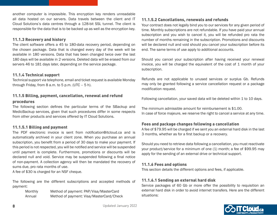another computer is impossible. This encryption key renders unreadable all data hosted on our servers. Data travels between the client and IT Cloud Solutions's data centres through a 128-bit SSL tunnel. The client is responsible for the data that is to be backed up as well as the encryption key.

#### 11.1.3 Recovery and history

The client software offers a 45 to 180-data recovery period, depending on the chosen package. Data that is changed every day of the week will be available in 180 versions. Data that has been changed twice over the last 180 days will be available in 2 versions. Deleted data will be erased from our servers 46 to 181 days later, depending on the service package.

#### 11.1.4 Technical support

Technical support via telephone, email and ticket request is available Monday through Friday, from  $8$  a.m. to  $5$  p.m. (UTC  $-5$  h).

### 11.1.5 Billing, payment, cancellation, renewal and refund procedures

The following section defines the particular terms of the SBackup and MedicBackup services, given that such procedures differ in some respects from other products and services offered by IT Cloud Solutions.

#### 11.1.5.1 Billing and payment

The PDF electronic invoice is sent from notification@itcloud.ca and is automatically archived in your client zone. When you purchase an annual subscription, you benefit from a period of 30 days to make your payment. If this period is not respected, you will be notified and service will be suspended until payment is complete. Furthermore, promotions or discounts will be declared null and void. Service may be suspended following a final notice of non-payment. A collection agency will then be mandated the recovery of sums due, pro rata months of use.

A fee of \$30 is charged for an NSF cheque.

The following are the different subscriptions and accepted methods of payment:

> Monthly Method of payment: PAP/Visa/MasterCard Annual Method of payment: Visa/MasterCard/Check

#### 11.1.5.2 Cancellations, renewals and refunds

Your contract does not legally bind you to our services for any given period of time. Monthly subscriptions are not refundable. If you have paid your annual subscription and you wish to cancel it, you will be refunded pro rata the number of months remaining in the subscription. Promotions and discounts will be declared null and void should you cancel your subscription before its end. The same terms of use apply to additional accounts.

Should you cancel your subscription after having received your renewal invoice, you will be charged the equivalent of the cost of 1 month of your subscription.

Refunds are not applicable to unused services or surplus Gb. Refunds may only be granted following a service cancellation request or a package modification request.

Following cancellation, your saved data will be deleted within 1 to 10 days.

The minimum admissible amount for reimbursement is \$1.00. In case of force majeure, we reserve the right to cancel a service at any time.

#### Fees and package changes following a cancellation

A fee of \$79.95 will be charged if we sent you an external hard disk in the last 3 months, whether as for a first backup or a recovery.

Should you need to retrieve data following a cancellation, you must reactivate your product/service for a minimum of one (1) month; a fee of \$99.95 may apply for the sending of an external drive or technical support.

#### 11.1.6 Fees and options

This section details the different options and fees, if applicable.

#### 11.1.6.1 Sending an external hard disk

Service packages of 60 Gb or more offer the possibility to requisition an external hard disk in order to avoid internet transfers. Here are the different situations:

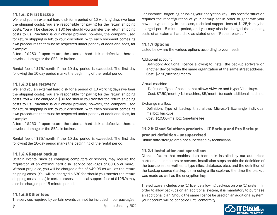#### 11.1.6. 2 First backup

We lend you an external hard disk for a period of 10 working days (we bear the shipping costs). You are responsible for paying for the return shipping costs. You will be charged a \$30 fee should you transfer the return shipping costs to us. Purolator is our official provider, however, the company used for return shipping is left to your discretion. With each shipment comes its own procedures that must be respected under penalty of additional fees, for example:

A fee of \$250 if, upon return, the external hard disk is defective, there is physical damage or the SEAL is broken.

Rental fee of \$75/month if the 10-day period is exceeded. The first day following the 10-day period marks the beginning of the rental period.

#### 11.1.6.3 Data recovery

We lend you an external hard disk for a period of 10 working days (we bear the shipping costs). You are responsible for paying for the return shipping costs. You will be charged a \$30 fee should you transfer the return shipping costs to us. Purolator is our official provider, however, the company used for return shipping is left to your discretion. With each shipment comes its own procedures that must be respected under penalty of additional fees, for example:

A fee of \$250 if, upon return, the external hard disk is defective, there is physical damage or the SEAL is broken.

Rental fee of \$75/month if the 10-day period is exceeded. The first day following the 10-day period marks the beginning of the rental period.

#### 11.1.6.4 Repeat backup

Certain events, such as changing computers or servers, may require the requisition of an external hard disk (service packages of 60 Gb or more). Without prejudice, you will be charged a fee of \$49.95 as well as the return shipping costs. (You will be charged a \$30 fee should you transfer the return shipping costs to us.) In certain cases, technical support fees of \$125/h may also be charged per 15-minute period.

#### 11.1.6.5 Other fees

The services required by certain events cannot be included in our packages.

For instance, forgetting or losing your encryption key. This specific situation requires the reconfiguration of your backup set in order to generate your new encryption key. In this case, technical support fees of \$125/h may be charged per 15-minute period, and you may also be charged the shipping costs of an external hard disk, as stated under "Repeat backup."

#### 11.1.7 Options

Listed below are the various options according to your needs:

#### Additional account

Definition: Additional licence allowing to install the backup software on another device within the same organization at the same street address. Cost: \$2.50/licence/month

#### Virtual machine

Definition: Type of backup that allows VMware and Hyper-V backups. Cost: \$7.50/month/1st machine, \$5/month for each additional machine.

#### Exchange mailbox

Definition: Type of backup that allows Microsoft Exchange individual mailbox backups.

Cost: \$10.00/mailbox (one-time fee)

#### 11.2 It Cloud Solutions products - LT Backup and Pro Backup: product definition - unsupervised

Online data-storage area not supervised by technicians.

#### 11.2.1 Installation and operations

Client software that enables data backup is installed by our authorized partners on computers or servers. Installation steps enable the definition of the backup set as well as its type (files, database, etc.), and the definition of the backup source (backup data) using a file explorer, the time the backup was made as well as the encryption key.

The software includes one (1) licence allowing backups on one (1) system. In order to allow backups on an additional system, it is mandatory to purchase an additional plan. Should the same licence be used on an additional system, your account will be canceled until conformity.

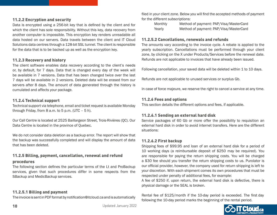#### 11.2.2 Encryption and security

Data is encrypted using a 256-bit key that is defined by the client and for which the client has sole responsibility. Without this key, data recovery from another computer is impossible. This encryption key renders unreadable all data hosted on our servers. Data travels between the client and IT Cloud Solutions data centres through a 128-bit SSL tunnel. The client is responsible for the data that is to be backed up as well as the encryption key.

#### 11.2.3 Recovery and history

The client software enables data recovery according to the client's needs or, by default, for 7 days. Data that is changed every day of the week will be available in 7 versions. Data that has been changed twice over the last 7 days will be available in 2 versions. Deleted data will be erased from our servers after 8 days. The amount of data generated through the history is cumulated and affects your package.

#### 11.2.4 Technical support

Technical support via telephone, email and ticket request is available Monday through Friday, from  $8$  a.m. to  $5$  p.m. (UTC –  $5$  h).

Our Call Centre is located at 2525 Baillargeon Street, Trois-Rivières (QC). Our Data Centre is located in the province of Quebec.

We do not consider data deletion as a backup error. The report will show that the backup was successfully completed and will display the amount of data that has been deleted.

### 11.2.5 Billing, payment, cancellation, renewal and refund

#### procedures

The following section defines the particular terms of the Lt and ProBackup services, given that such procedures differ in some respects from the SBackup and MedicBackup services.

#### 11.2.5.1 Billing and payment

The invoice is sent in PDF format by notification@itcloud.ca and is automatically

filed in your client zone. Below you will find the accepted methods of payment for the different subscriptions:

| Monthly | Method of payment: PAP/Visa/MasterCard |
|---------|----------------------------------------|
| Yearly  | Method of payment: PAP/Visa/MasterCard |

#### 11.2.5.2 Cancellations, renewals and refunds

The amounts vary according to the invoice cycle. A rebate is applied to the yearly subscription. Cancellations must be performed through your client zone, by clicking on the X under Products/Services before the renewal date. Refunds are not applicable to invoices that have already been issued.

Following cancellation, your saved data will be deleted within 1 to 10 days.

Refunds are not applicable to unused services or surplus Gb.

In case of force majeure, we reserve the right to cancel a service at any time.

#### 11.2.6 Fees and options

This section details the different options and fees, if applicable.

#### 11.2.6.1 Sending an external hard disk

Service packages of 60 Gb or more offer the possibility to requisition an external hard disk in order to avoid internet transfers. Here are the different situations:

#### 11.2.6.2 First backup

Shipping fees of \$99.95 and loan of an external hard disk for a period of 10 working days (a reimbursable deposit of \$250 may be required). You are responsible for paying the return shipping costs. You will be charged a \$30 fee should you transfer the return shipping costs to us. Purolator is our official provider, however, the company used for return shipping is left to your discretion. With each shipment comes its own procedures that must be respected under penalty of additional fees, for example:

A fee of \$250 if, upon return, the external hard disk is defective, there is physical damage or the SEAL is broken.

Rental fee of \$125/month if the 10-day period is exceeded. The first day following the 10-day period marks the beginning of the rental period.

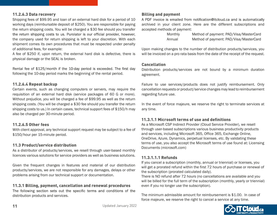#### 11.2.6.3 Data recovery

Shipping fees of \$99.95 and loan of an external hard disk for a period of 10 working days (reimbursable deposit of \$250). You are responsible for paying the return shipping costs. You will be charged a \$30 fee should you transfer the return shipping costs to us. Purolator is our official provider, however, the company used for return shipping is left to your discretion. With each shipment comes its own procedures that must be respected under penalty of additional fees, for example:

A fee of \$250 if, upon return, the external hard disk is defective, there is physical damage or the SEAL is broken.

Rental fee of \$125/month if the 10-day period is exceeded. The first day following the 10-day period marks the beginning of the rental period.

#### 11.2.6.4 Repeat backup

Certain events, such as changing computers or servers, may require the requisition of an external hard disk (service packages of 60 G or more). Without prejudice, you will be charged a fee of \$99.95 as well as the return shipping costs. (You will be charged a \$30 fee should you transfer the return shipping costs to us.) In certain cases, technical support fees of \$150/h may also be charged per 30-minute period.

#### 11.2.6.5 Other fees

With client approval, any technical support request may be subject to a fee of \$150/hour per 15-minute period.

#### 11.3 Product/service distribution

As a distributor of products/services, we resell through user-based monthly licences various solutions for service providers as well as business solutions.

Given the frequent changes in features and material of our distribution products/services, we are not responsible for any damages, delays or other problems arising from our technical support or documentation.

#### 11.3.1 Billing, payment, cancellation and renewal procedures

The following section sets out the specific terms and conditions of the distribution products and services.

#### Billing and payment

A PDF invoice is emailed from notification@itcloud.ca and is automatically archived in your client zone. Here are the different subscriptions and accepted methods of payment:

| Monthly | Method of payment: PAD/Visa/MasterCard |
|---------|----------------------------------------|
| Annual  | Method of payment: PAD/Visa/MasterCard |

Upon making changes to the number of distribution products/services, you will be invoiced on a pro rata basis from the date of the receipt of the request.

#### **Cancellation**

Distribution products/services are not bound by a minimum duration agreement.

Failure to use services/products does not justify reimbursement. Only cancellation requests or product/service changes may lead to reimbursement regarding future use.

In the event of force majeure, we reserve the right to terminate services at any time.

#### 11.3.1.1 Microsoft terms of use and definitions

As a Microsoft CSP Indirect Provider (Cloud Service Provider), we resell through user-based subscriptions various business productivity products and services, including Microsoft 365, Office 365, Exchange Online, OneDrive, Azure, Dynamics, perpetual licenses, etc. By validating these terms of use, you also accept the Microsoft terms of use found at: Licensing Documents (microsoft.com)

#### 11.3.1.1.1 Refunds

If you cancel a subscription (monthly, annual or triennial) or licenses, you will get a prorated refund within the first 72 hours of purchase or renewal of the subscription (prorated calculated daily).

There is NO refund after 72 hours (no cancellations are available and you will be billed for the full term of the subscription (monthly, yearly or triennial) even if you no longer use the subscription).

The minimum admissible amount for reimbursement is \$1.00. In case of force majeure, we reserve the right to cancel a service at any time.

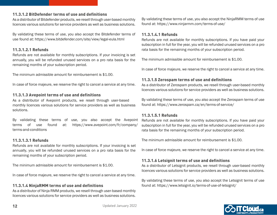#### 11.3.1.2 BitDefender terms of use and definitions

As a distributor of Bitdefender products, we resell through user-based monthly licences various solutions for service providers as well as business solutions.

By validating these terms of use, you also accept the Bitdefender terms of use found at: https://www.bitdefender.com/site/view/legal-eula.html

#### 11.3.1.2.1 Refunds

Refunds are not available for monthly subscriptions. If your invoicing is set annually, you will be refunded unused services on a pro rata basis for the remaining months of your subscription period.

The minimum admissible amount for reimbursement is \$1.00.

In case of force majeure, we reserve the right to cancel a service at any time.

#### 11.3.1.3 Avepoint terms of use and definitions

As a distributor of Avepoint products, we resell through user-based monthly licences various solutions for service providers as well as business solutions.

By validating these terms of use, you also accept the Avepoint terms of use found at: https://www.avepoint.com/fr/company/ terms-and-conditions

#### 11.3.1.3.1 Refunds

Refunds are not available for monthly subscriptions. If your invoicing is set annually, you will be refunded unused services on a pro rata basis for the remaining months of your subscription period.

The minimum admissible amount for reimbursement is \$1.00.

In case of force majeure, we reserve the right to cancel a service at any time.

### 11.3.1.4 NinjaRMM terms of use and definitions

As a distributor of Ninja RMM products, we resell through user-based monthly licences various solutions for service providers as well as business solutions. By validating these terms of use, you also accept the NinjaRMM terms of use found at: https://www.ninjarmm.com/terms-of-use/

#### 11.3.1.4.1 Refunds

Refunds are not available for monthly subscriptions. If you have paid your subscription in full for the year, you will be refunded unused services on a pro rata basis for the remaining months of your subscription period.

The minimum admissible amount for reimbursement is \$1.00.

In case of force majeure, we reserve the right to cancel a service at any time.

#### 11.3.1.5 Zerospam terms of use and definitions

As a distributor of Zerospam products, we resell through user-based monthly licences various solutions for service providers as well as business solutions.

By validating these terms of use, you also accept the Zerospam terms of use found at: https://www.zerospam.ca/en/terms-of-service/

#### 11.3.1.5.1 Refunds

Refunds are not available for monthly subscriptions. If you have paid your subscription in full for the year, you will be refunded unused services on a pro rata basis for the remaining months of your subscription period.

The minimum admissible amount for reimbursement is \$1.00.

In case of force majeure, we reserve the right to cancel a service at any time.

#### 11.3.1.6 Letsignit terms of use and definitions

As a distributor of Letsignit products, we resell through user-based monthly licences various solutions for service providers as well as business solutions.

By validating these terms of use, you also accept the Letsignit terms of use found at: https://www.letsignit.io/terms-of-use-of-letsignit/

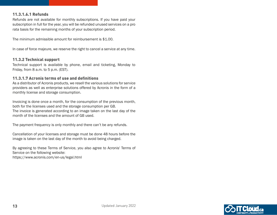#### 11.3.1.6.1 Refunds

Refunds are not available for monthly subscriptions. If you have paid your subscription in full for the year, you will be refunded unused services on a pro rata basis for the remaining months of your subscription period.

The minimum admissible amount for reimbursement is \$1.00.

In case of force majeure, we reserve the right to cancel a service at any time.

#### 11.3.2 Technical support

Technical support is available by phone, email and ticketing, Monday to Friday, from 8 a.m. to 5 p.m. (EST).

#### 11.3.1.7 Acronis terms of use and definitions

As a distributor of Acronis products, we resell the various solutions for service providers as well as enterprise solutions offered by Acronis in the form of a monthly license and storage consumption.

Invoicing is done once a month, for the consumption of the previous month, both for the licenses used and the storage consumption per GB. The invoice is generated according to an image taken on the last day of the month of the licenses and the amount of GB used.

The payment frequency is only monthly and there can't be any refunds.

Cancellation of your licenses and storage must be done 48 hours before the image is taken on the last day of the month to avoid being charged.

By agreeing to these Terms of Service, you also agree to Acronis' Terms of Service on the following website: https://www.acronis.com/en-us/legal.html

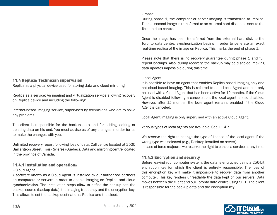#### 11.4 Replica: Technician supervision

Replica as a physical device used for storing data and cloud mirroring.

Replica as a service: An imaging and virtualization service allowing recovery on Replica device and including the following:

Internet-based imaging service, supervised by technicians who act to solve any problems.

The client is responsible for the backup data and for adding, editing or deleting data on his end. You must advise us of any changes in order for us to make the changes with you.

Unlimited recovery report following loss of data. Call centre located at 2525 Baillargeon Street, Trois-Rivières (Quebec). Data and mirroring centre located in the province of Canada.

#### 11.4.1 Installation and operations

#### - Cloud Agent

A software known as a Cloud Agent is installed by our authorized partners on computers or servers in order to enable imaging on Replica and cloud synchronization. The installation steps allow to define the backup set, the backup source (backup data), the imaging frequency and the encryption key. This allows to set the backup destinations: Replica and the cloud.

#### - Phase 1

During phase 1, the computer or server imaging is transferred to Replica. Then, a second image is transferred to an external hard disk to be sent to the Toronto data centre.

Once the image has been transferred from the external hard disk to the Toronto data centre, synchronization begins in order to generate an exact real-time replica of the image on Replica. This marks the end of phase 1.

Please note that there is no recovery guarantee during phase 1 and full repeat backups. Also, during recovery, the backup may be disabled, making data updates impossible during this time.

#### -Local Agent

It is possible to have an agent that enables Replica-based imaging only and not cloud-based imaging. This is referred to as a Local Agent and can only be used with a Cloud Agent that has been active for 12 months. If the Cloud Agent is disabled following a cancellation, the local agent is also disabled. However, after 12 months, the local agent remains enabled if the Cloud Agent is canceled.

Local Agent imaging is only supervised with an active Cloud Agent.

Various types of local agents are available. See 11.4.7.

We reserve the right to change the type of licence of the local agent if the wrong type was selected (e.g., Desktop installed on server).

In case of force majeure, we reserve the right to cancel a service at any time.

#### 11.4.2 Encryption and security

Before leaving your computer system, the data is encrypted using a 256-bit encryption key for which the client is entirely responsible. The loss of this encryption key will make it impossible to recover data from another computer. This key renders unreadable the data kept on our servers. Data moves between the client and our Toronto data centre using SFTP. The client is responsible for the backup data and the encryption key.

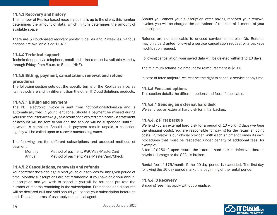#### 11.4.3 Recovery and history

The number of Replica-based recovery points is up to the client; this number determines the amount of data, which in turn determines the amount of available space.

There are 5 cloud-based recovery points: 3 dailies and 2 weeklies. Various options are available. See 11.4.7.

#### 11.4.4 Technical support

Technical support via telephone, email and ticket request is available Monday through Friday, from 8 a.m. to 5 p.m. (HNE).

### 11.4.5 Billing, payment, cancellation, renewal and refund

#### procedures

The following section sets out the specific terms of the Replica service, as its methods are slightly different than the other IT Cloud Solutions products.

#### 11.4.5.1 Billing and payment

The PDF electronic invoice is sent from notification@itcloud.ca and is automatically filed in your client zone. Should a payment be missed during your use of our services (e.g., as a result of an expired credit card), a statement of account will be sent to you and the service will be suspended until full payment is complete. Should such payment remain unpaid, a collection agency will be called upon to recover outstanding sums.

The following are the different subscriptions and accepted methods of payment:

| Monthly | Method of payment: PAP/Visa/MasterCard   |
|---------|------------------------------------------|
| Annual  | Method of payment: Visa/MasterCard/Check |

#### 11.4.5.2 Cancellations, renewals and refunds

Your contract does not legally bind you to our services for any given period of time. Monthly subscriptions are not refundable. If you have paid your annual subscription and you wish to cancel it, you will be refunded pro rata the number of months remaining in the subscription. Promotions and discounts will be declared null and void should you cancel your subscription before its end. The same terms of use apply to the local agent.

Should you cancel your subscription after having received your renewal invoice, you will be charged the equivalent of the cost of 1 month of your subscription.

Refunds are not applicable to unused services or surplus Gb. Refunds may only be granted following a service cancellation request or a package modification request.

Following cancellation, your saved data will be deleted within 1 to 10 days.

The minimum admissible amount for reimbursement is \$1.00.

In case of force majeure, we reserve the right to cancel a service at any time.

#### 11.4.6 Fees and options

This section details the different options and fees, if applicable.

#### 11.4.6.1 Sending an external hard disk

We send you an external hard disk for initial backup.

#### 11.4.6. 2 First backup

We lend you an external hard disk for a period of 10 working days (we bear the shipping costs). You are responsible for paying for the return shipping costs. Purolator is our official provider. With each shipment comes its own procedures that must be respected under penalty of additional fees, for example:

A fee of \$250 if, upon return, the external hard disk is defective, there is physical damage or the SEAL is broken.

Rental fee of \$75/month if the 10-day period is exceeded. The first day following the 10-day period marks the beginning of the rental period.

#### 11.4.6. 3 Recovery

Shipping fees may apply without prejudice.

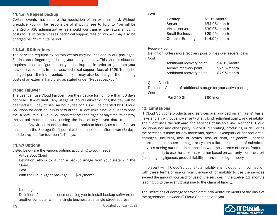**15** Bernard Communication Controllering Updated January 2022

#### 11.4.6. 4 Repeat backup

Certain events may require the requisition of an external hard. Without prejudice, you will be responsible of shipping fees to Toronto. You will be charged a \$30 administrative fee should you transfer the return shipping costs to us. In certain cases, technical support fees of \$125/h may also be charged per 15-minute period.

#### 11.4.6. 5 Other fees

The services required by certain events may be included in our packages. For instance, forgetting or losing your encryption key. This specific situation requires the reconfiguration of your backup set in order to generate your new encryption key. In this case, technical support fees of \$125/h may be charged per 15-minute period, and you may also be charged the shipping costs of an external hard disk, as stated under "Repeat backup."

#### Cloud Failover

The user can use Cloud Failover from their device for no more than 30 days per year (30-day limit). Any usage of Cloud Failover during the day will be deemed a full day of use. An hourly fee of \$13 will be charged by IT Cloud Solutions for each hour in excess of the 30-day limit. Should a user exceed the 30-day limit, IT Cloud Solutions reserves the right, at any time, to destroy the virtual machine, thus causing the loss of any saved data from this machine. Any virtual machine that a user omits to identify as a real failover machine in the Storage Craft portal will be suspended after seven (7) days and destroyed after fourteen (14) days.

#### 11.4.7 Options

Listed below are the various options according to your needs:

VirtualBoot Cloud

Definition: Allows to launch a backup image from your system in the Cloud.

Cost

With the Cloud Agent package \$20/month

#### Local agent

Definition: Additional licence enabling you to install backup software on another computer within a single business at a single street address.

#### Cost

| Desktop               | \$7.95/month  |
|-----------------------|---------------|
| Server                | \$54.95/month |
| Virtual server        | \$39.95/month |
| <b>Small Business</b> | \$29.95/month |
| Granular Exchange     | \$14.95/month |

#### Recovery point

Definition: Offers more recovery possibilities over several days Cost

| Additional recovery point | \$4.95/month |
|---------------------------|--------------|
| Archive recovery point    | \$7.95/month |
| Additional recovery point | \$7.95/month |

#### Quota Cloud:

Definition: Amount of additional storage for your active package Cost

Per 250 Gb \$80/month

### 12. Limitations

IT Cloud Solutions products and services are provided on an "as is" basis, flaws and all, without any warranty of any kind regarding quality and reliability. The client uses the software and services at his sole risk. Neither IT Cloud Solutions nor any other party involved in creating, producing or delivering the services is liable for any incidental, special, exemplary or consequential damages, including loss of profits, loss of data, or goodwill, service interruption, computer damage, or system failure, or the cost of substitute services arising out of, or in connection with these terms of use or from the use or inability to use the services, whether based on warranty, contract, tort (including negligence), product liability or any other legal theory.

In no event will IT Cloud Solutions total liability arising out of or in connection with these terms of use or from the use of, or inability to use the services exceed the amount you paid for use of the services in the twelve (12) months leading up to the event giving rise to the claim of liability.

The limitations of damage set forth are fundamental elements of the basis of the agreement between IT Cloud Solutions and you.